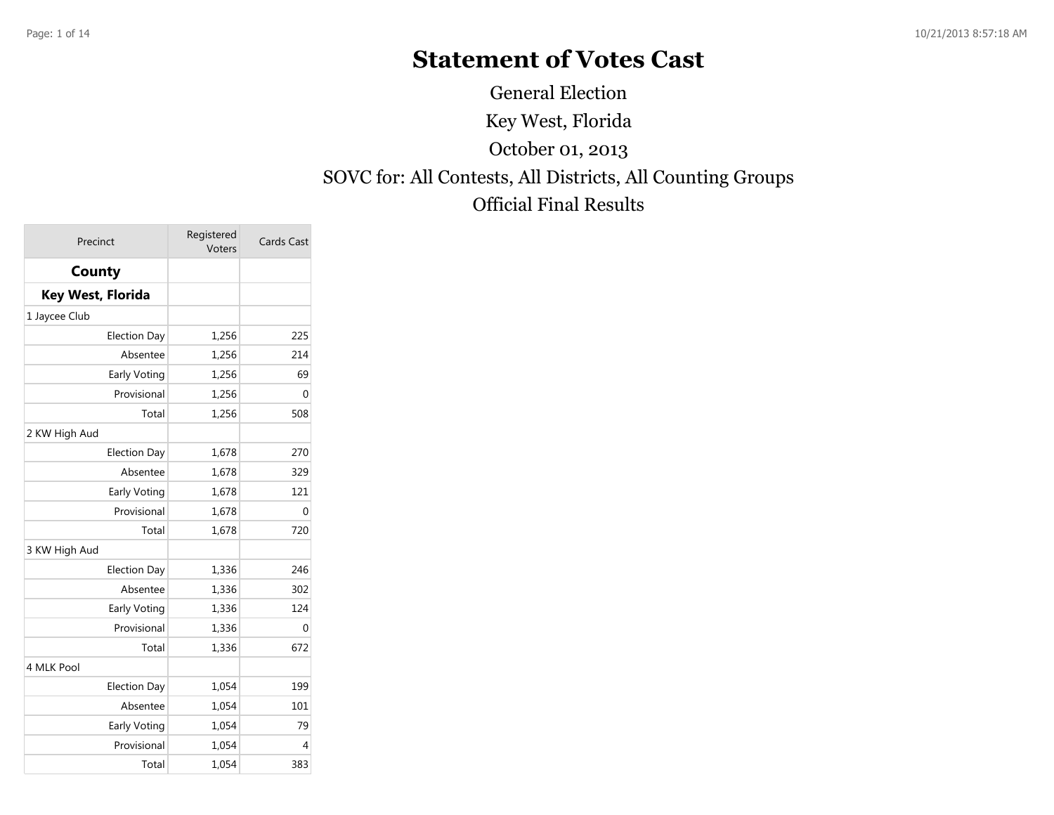# **Statement of Votes Cast**

Key West, Florida SOVC for: All Contests, All Districts, All Counting Groups Official Final Results October 01, 2013 General Election

| Precinct                 | Registered<br>Voters | Cards Cast |
|--------------------------|----------------------|------------|
| County                   |                      |            |
| <b>Key West, Florida</b> |                      |            |
| 1 Jaycee Club            |                      |            |
| <b>Election Day</b>      | 1,256                | 225        |
| Absentee                 | 1,256                | 214        |
| Early Voting             | 1,256                | 69         |
| Provisional              | 1,256                | 0          |
| Total                    | 1,256                | 508        |
| 2 KW High Aud            |                      |            |
| <b>Election Day</b>      | 1,678                | 270        |
| Absentee                 | 1,678                | 329        |
| Early Voting             | 1,678                | 121        |
| Provisional              | 1,678                | 0          |
| Total                    | 1,678                | 720        |
| 3 KW High Aud            |                      |            |
| <b>Election Day</b>      | 1,336                | 246        |
| Absentee                 | 1,336                | 302        |
| Early Voting             | 1,336                | 124        |
| Provisional              | 1,336                | 0          |
| Total                    | 1,336                | 672        |
| 4 MLK Pool               |                      |            |
| <b>Election Day</b>      | 1,054                | 199        |
| Absentee                 | 1,054                | 101        |
| Early Voting             | 1,054                | 79         |
| Provisional              | 1,054                | 4          |
| Total                    | 1,054                | 383        |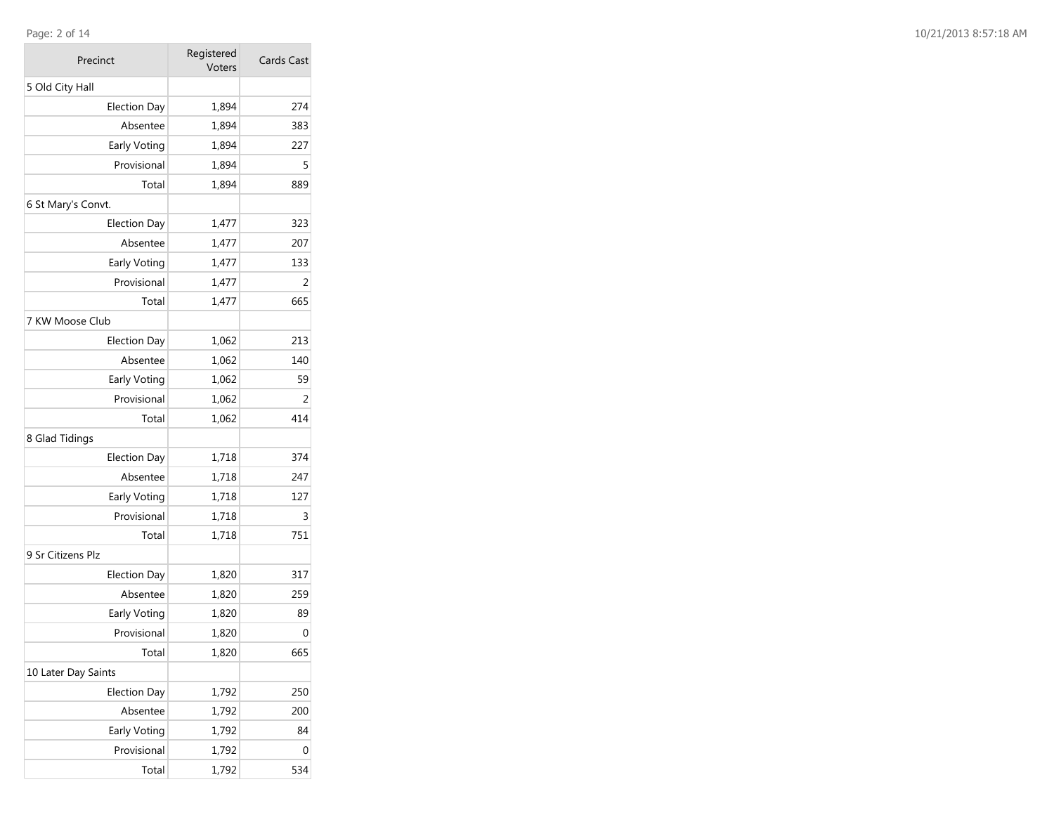### Page: 2 of 14

| Precinct            | Registered<br>Voters | Cards Cast |
|---------------------|----------------------|------------|
| 5 Old City Hall     |                      |            |
| <b>Election Day</b> | 1,894                | 274        |
| Absentee            | 1,894                | 383        |
| Early Voting        | 1,894                | 227        |
| Provisional         | 1,894                | 5          |
| Total               | 1,894                | 889        |
| 6 St Mary's Convt.  |                      |            |
| <b>Election Day</b> | 1,477                | 323        |
| Absentee            | 1,477                | 207        |
| Early Voting        | 1,477                | 133        |
| Provisional         | 1,477                | 2          |
| Total               | 1,477                | 665        |
| 7 KW Moose Club     |                      |            |
| <b>Election Day</b> | 1,062                | 213        |
| Absentee            | 1,062                | 140        |
| Early Voting        | 1,062                | 59         |
| Provisional         | 1,062                | 2          |
| Total               | 1,062                | 414        |
| 8 Glad Tidings      |                      |            |
| <b>Election Day</b> | 1,718                | 374        |
| Absentee            | 1,718                | 247        |
| Early Voting        | 1,718                | 127        |
| Provisional         | 1,718                | 3          |
| Total               | 1,718                | 751        |
| 9 Sr Citizens Plz   |                      |            |
| <b>Election Day</b> | 1,820                | 317        |
| Absentee            | 1,820                | 259        |
| Early Voting        | 1,820                | 89         |
| Provisional         | 1,820                | 0          |
| Total               | 1,820                | 665        |
| 10 Later Day Saints |                      |            |
| <b>Election Day</b> | 1,792                | 250        |
| Absentee            | 1,792                | 200        |
| Early Voting        | 1,792                | 84         |
| Provisional         | 1,792                | 0          |
| Total               | 1,792                | 534        |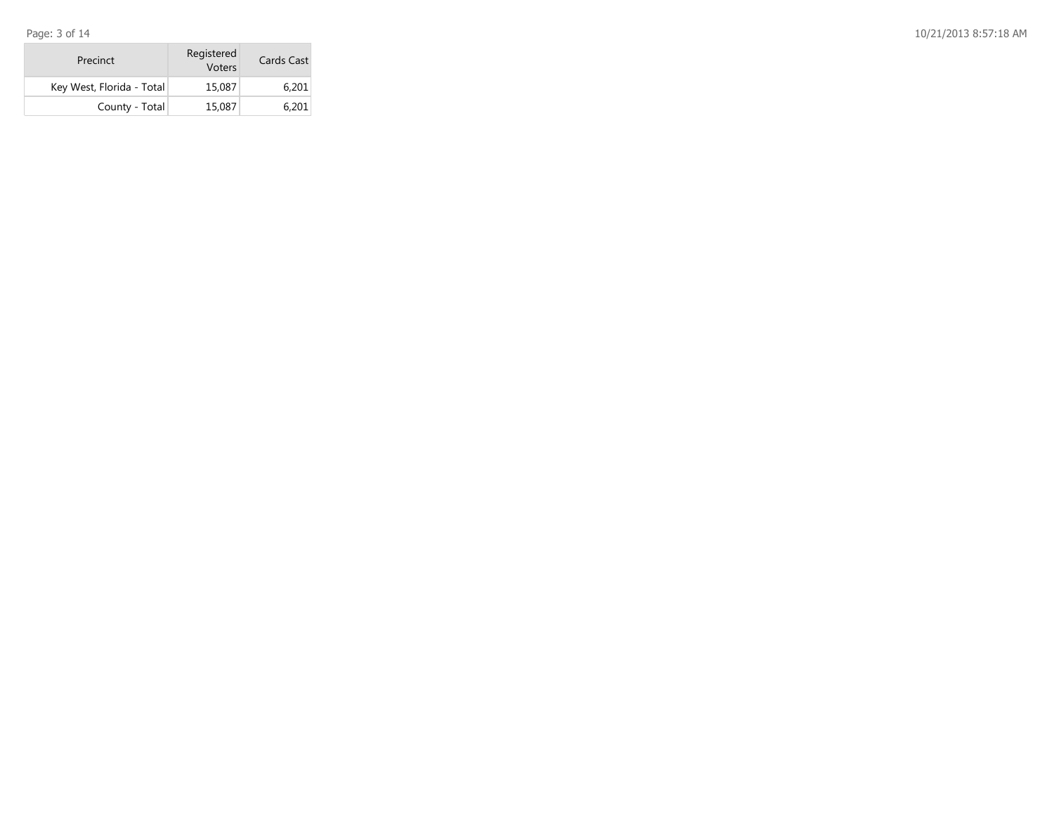Page: 3 of 14

| Precinct                  | Registered<br>Voters | Cards Cast |  |
|---------------------------|----------------------|------------|--|
| Key West, Florida - Total | 15,087               | 6.201      |  |
| County - Total            | 15,087               | 6,201      |  |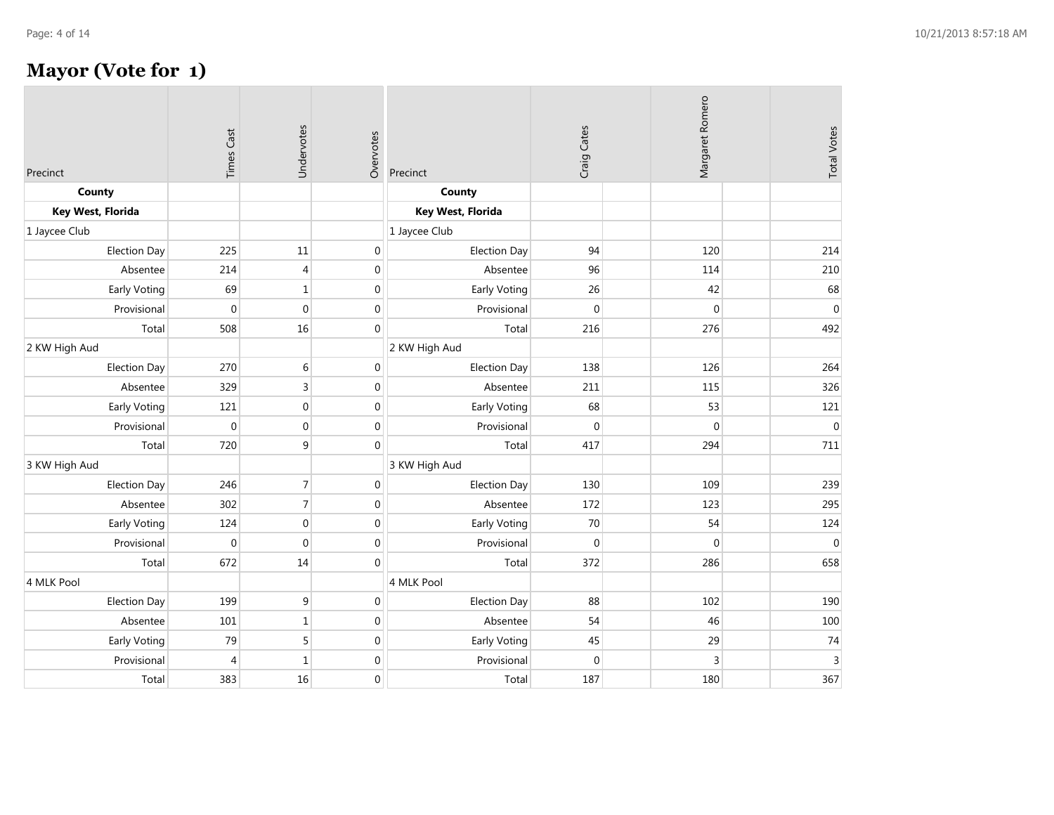## **Mayor (Vote for 1)**

| Precinct            | <b>Times Cast</b> | Undervotes     | Overvotes        | Precinct            | Craig Cates  | Margaret Romero | <b>Total Votes</b> |
|---------------------|-------------------|----------------|------------------|---------------------|--------------|-----------------|--------------------|
| County              |                   |                |                  | County              |              |                 |                    |
| Key West, Florida   |                   |                |                  | Key West, Florida   |              |                 |                    |
| 1 Jaycee Club       |                   |                |                  | 1 Jaycee Club       |              |                 |                    |
| <b>Election Day</b> | 225               | 11             | $\boldsymbol{0}$ | <b>Election Day</b> | 94           | 120             | 214                |
| Absentee            | 214               | $\overline{4}$ | $\boldsymbol{0}$ | Absentee            | 96           | 114             | 210                |
| <b>Early Voting</b> | 69                | $\mathbf{1}$   | $\pmb{0}$        | Early Voting        | 26           | 42              | 68                 |
| Provisional         | $\mathbf 0$       | $\Omega$       | $\boldsymbol{0}$ | Provisional         | $\mathbf{0}$ | $\Omega$        | $\mathbf 0$        |
| Total               | 508               | 16             | $\boldsymbol{0}$ | Total               | 216          | 276             | 492                |
| 2 KW High Aud       |                   |                |                  | 2 KW High Aud       |              |                 |                    |
| <b>Election Day</b> | 270               | $\,6\,$        | $\boldsymbol{0}$ | <b>Election Day</b> | 138          | 126             | 264                |
| Absentee            | 329               | 3              | $\boldsymbol{0}$ | Absentee            | 211          | 115             | 326                |
| Early Voting        | 121               | $\mathbf 0$    | $\boldsymbol{0}$ | Early Voting        | 68           | 53              | 121                |
| Provisional         | $\boldsymbol{0}$  | $\mathbf{0}$   | $\boldsymbol{0}$ | Provisional         | $\mathbf 0$  | $\mathbf{0}$    | $\boldsymbol{0}$   |
| Total               | 720               | 9              | $\mathbf 0$      | Total               | 417          | 294             | 711                |
| 3 KW High Aud       |                   |                |                  | 3 KW High Aud       |              |                 |                    |
| <b>Election Day</b> | 246               | $\overline{7}$ | $\boldsymbol{0}$ | <b>Election Day</b> | 130          | 109             | 239                |
| Absentee            | 302               | $\overline{7}$ | $\boldsymbol{0}$ | Absentee            | 172          | 123             | 295                |
| Early Voting        | 124               | $\mathbf{0}$   | $\boldsymbol{0}$ | Early Voting        | 70           | 54              | 124                |
| Provisional         | $\mathbf 0$       | $\Omega$       | $\mathbf 0$      | Provisional         | $\mathbf{0}$ | $\Omega$        | $\mathbf{0}$       |
| Total               | 672               | 14             | $\boldsymbol{0}$ | Total               | 372          | 286             | 658                |
| 4 MLK Pool          |                   |                |                  | 4 MLK Pool          |              |                 |                    |
| <b>Election Day</b> | 199               | 9              | $\boldsymbol{0}$ | <b>Election Day</b> | 88           | 102             | 190                |
| Absentee            | 101               | $\mathbf{1}$   | $\boldsymbol{0}$ | Absentee            | 54           | 46              | 100                |
| <b>Early Voting</b> | 79                | 5              | $\boldsymbol{0}$ | Early Voting        | 45           | 29              | 74                 |
| Provisional         | $\overline{4}$    | $\mathbf{1}$   | $\boldsymbol{0}$ | Provisional         | $\mathbf 0$  | 3               | $\overline{3}$     |
| Total               | 383               | 16             | $\mathbf 0$      | Total               | 187          | 180             | 367                |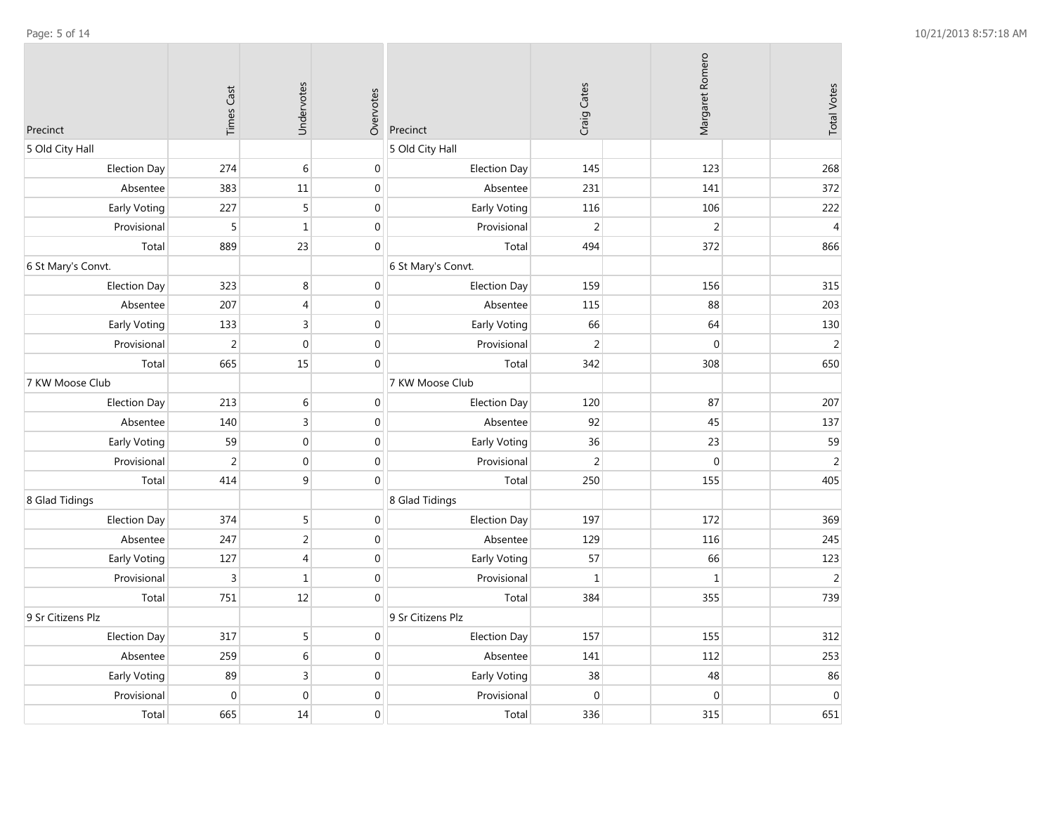| Precinct            | <b>Times Cast</b> | Undervotes     | Overvotes        | Precinct            | Craig Cates    | Margaret Romero  | <b>Total Votes</b> |
|---------------------|-------------------|----------------|------------------|---------------------|----------------|------------------|--------------------|
| 5 Old City Hall     |                   |                |                  | 5 Old City Hall     |                |                  |                    |
| <b>Election Day</b> | 274               | 6              | $\mathbf 0$      | <b>Election Day</b> | 145            | 123              | 268                |
| Absentee            | 383               | 11             | $\mathbf 0$      | Absentee            | 231            | 141              | 372                |
| Early Voting        | 227               | 5              | $\pmb{0}$        | Early Voting        | 116            | 106              | 222                |
| Provisional         | 5                 | $\mathbf{1}$   | $\pmb{0}$        | Provisional         | $\overline{2}$ | $\overline{2}$   | $\overline{4}$     |
| Total               | 889               | 23             | $\boldsymbol{0}$ | Total               | 494            | 372              | 866                |
| 6 St Mary's Convt.  |                   |                |                  | 6 St Mary's Convt.  |                |                  |                    |
| <b>Election Day</b> | 323               | 8              | $\boldsymbol{0}$ | Election Day        | 159            | 156              | 315                |
| Absentee            | 207               | 4              | $\boldsymbol{0}$ | Absentee            | 115            | 88               | 203                |
| Early Voting        | 133               | 3              | $\boldsymbol{0}$ | Early Voting        | 66             | 64               | 130                |
| Provisional         | $\sqrt{2}$        | $\mathbf{0}$   | $\pmb{0}$        | Provisional         | $\overline{2}$ | $\mathbf{0}$     | $\overline{2}$     |
| Total               | 665               | 15             | $\boldsymbol{0}$ | Total               | 342            | 308              | 650                |
| 7 KW Moose Club     |                   |                |                  | 7 KW Moose Club     |                |                  |                    |
| <b>Election Day</b> | 213               | 6              | $\mathbf 0$      | Election Day        | 120            | 87               | 207                |
| Absentee            | 140               | 3              | $\boldsymbol{0}$ | Absentee            | 92             | 45               | 137                |
| Early Voting        | 59                | $\overline{0}$ | $\boldsymbol{0}$ | Early Voting        | 36             | 23               | 59                 |
| Provisional         | $\overline{2}$    | $\mathbf{0}$   | $\boldsymbol{0}$ | Provisional         | $\overline{2}$ | $\boldsymbol{0}$ | $\overline{2}$     |
| Total               | 414               | 9              | $\boldsymbol{0}$ | Total               | 250            | 155              | 405                |
| 8 Glad Tidings      |                   |                |                  | 8 Glad Tidings      |                |                  |                    |
| <b>Election Day</b> | 374               | 5              | $\boldsymbol{0}$ | Election Day        | 197            | 172              | 369                |
| Absentee            | 247               | 2              | $\boldsymbol{0}$ | Absentee            | 129            | 116              | 245                |
| <b>Early Voting</b> | 127               | $\overline{4}$ | $\boldsymbol{0}$ | Early Voting        | 57             | 66               | 123                |
| Provisional         | 3                 | $\mathbf{1}$   | $\pmb{0}$        | Provisional         | $\mathbf{1}$   | $\mathbf{1}$     | $\overline{2}$     |
| Total               | 751               | 12             | $\pmb{0}$        | Total               | 384            | 355              | 739                |
| 9 Sr Citizens Plz   |                   |                |                  | 9 Sr Citizens Plz   |                |                  |                    |
| <b>Election Day</b> | 317               | 5              | $\mathbf 0$      | <b>Election Day</b> | 157            | 155              | 312                |
| Absentee            | 259               | 6              | $\boldsymbol{0}$ | Absentee            | 141            | 112              | 253                |
| Early Voting        | 89                | $\overline{3}$ | $\boldsymbol{0}$ | Early Voting        | 38             | 48               | 86                 |
| Provisional         | $\mathbf 0$       | $\mathbf{0}$   | $\mathbf 0$      | Provisional         | $\mathbf 0$    | $\mathbf 0$      | $\mathbf 0$        |
| Total               | 665               | 14             | $\pmb{0}$        | Total               | 336            | 315              | 651                |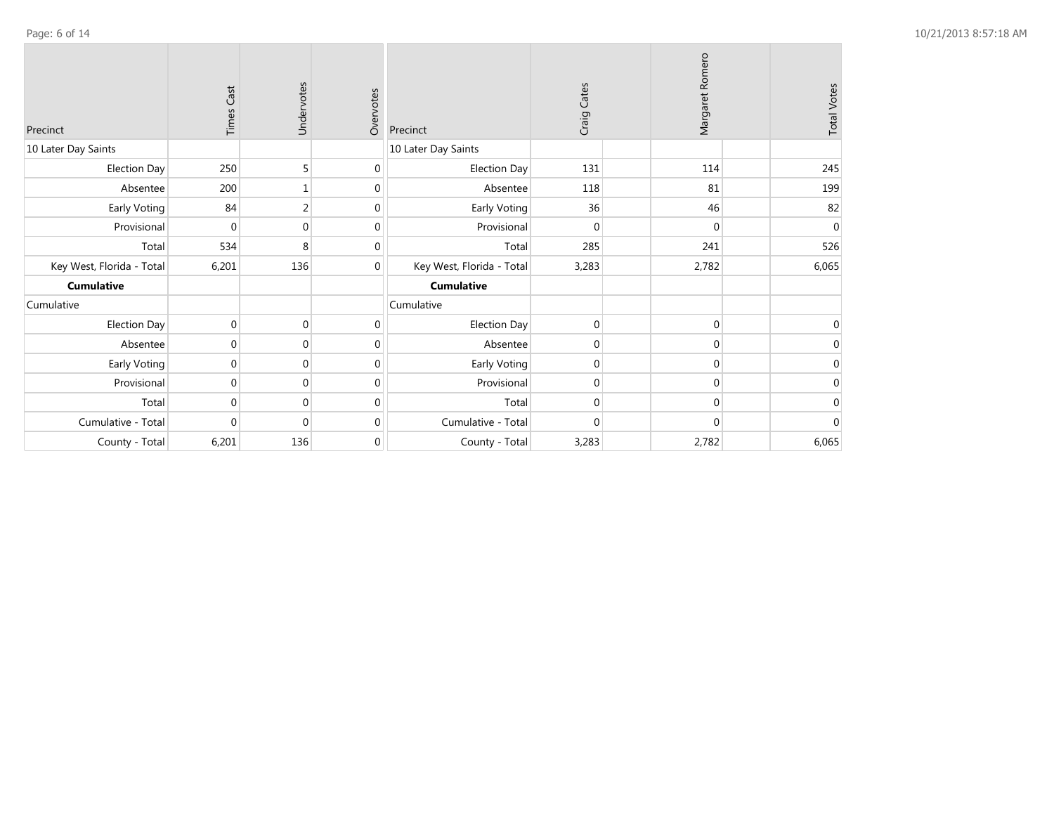| Precinct                  | Cast<br>Times  | Undervotes     | Overvotes    | Precinct                  | Craig Cates    | Margaret Romero | <b>Total Votes</b> |
|---------------------------|----------------|----------------|--------------|---------------------------|----------------|-----------------|--------------------|
| 10 Later Day Saints       |                |                |              | 10 Later Day Saints       |                |                 |                    |
| <b>Election Day</b>       | 250            | 5              | $\mathbf 0$  | <b>Election Day</b>       | 131            | 114             | 245                |
| Absentee                  | 200            |                | $\mathbf{0}$ | Absentee                  | 118            | 81              | 199                |
| Early Voting              | 84             | $\overline{2}$ | $\mathbf{0}$ | Early Voting              | 36             | 46              | 82                 |
| Provisional               | $\mathbf{0}$   | $\Omega$       | $\mathbf{0}$ | Provisional               | $\mathbf{0}$   | $\Omega$        | $\mathbf{0}$       |
| Total                     | 534            | 8              | $\mathbf{0}$ | Total                     | 285            | 241             | 526                |
| Key West, Florida - Total | 6,201          | 136            | $\mathbf 0$  | Key West, Florida - Total | 3,283          | 2,782           | 6,065              |
| <b>Cumulative</b>         |                |                |              | <b>Cumulative</b>         |                |                 |                    |
| Cumulative                |                |                |              | Cumulative                |                |                 |                    |
| <b>Election Day</b>       | $\mathbf 0$    | $\Omega$       | 0            | <b>Election Day</b>       | $\overline{0}$ | $\Omega$        | 0                  |
| Absentee                  | $\Omega$       | $\Omega$       | $\mathbf{0}$ | Absentee                  | $\overline{0}$ | $\Omega$        | $\Omega$           |
| Early Voting              | $\mathbf{0}$   | $\Omega$       | $\mathbf{0}$ | Early Voting              | $\overline{0}$ | $\Omega$        | $\Omega$           |
| Provisional               | $\mathbf 0$    | $\Omega$       | $\mathbf 0$  | Provisional               | $\overline{0}$ | $\Omega$        | 0                  |
| Total                     | $\overline{0}$ | $\mathbf{0}$   | $\mathbf 0$  | Total                     | $\overline{0}$ | $\mathbf 0$     | $\mathbf 0$        |
| Cumulative - Total        | $\Omega$       | $\Omega$       | $\mathbf{0}$ | Cumulative - Total        | $\Omega$       | $\Omega$        | $\Omega$           |
| County - Total            | 6,201          | 136            | $\mathbf 0$  | County - Total            | 3,283          | 2,782           | 6,065              |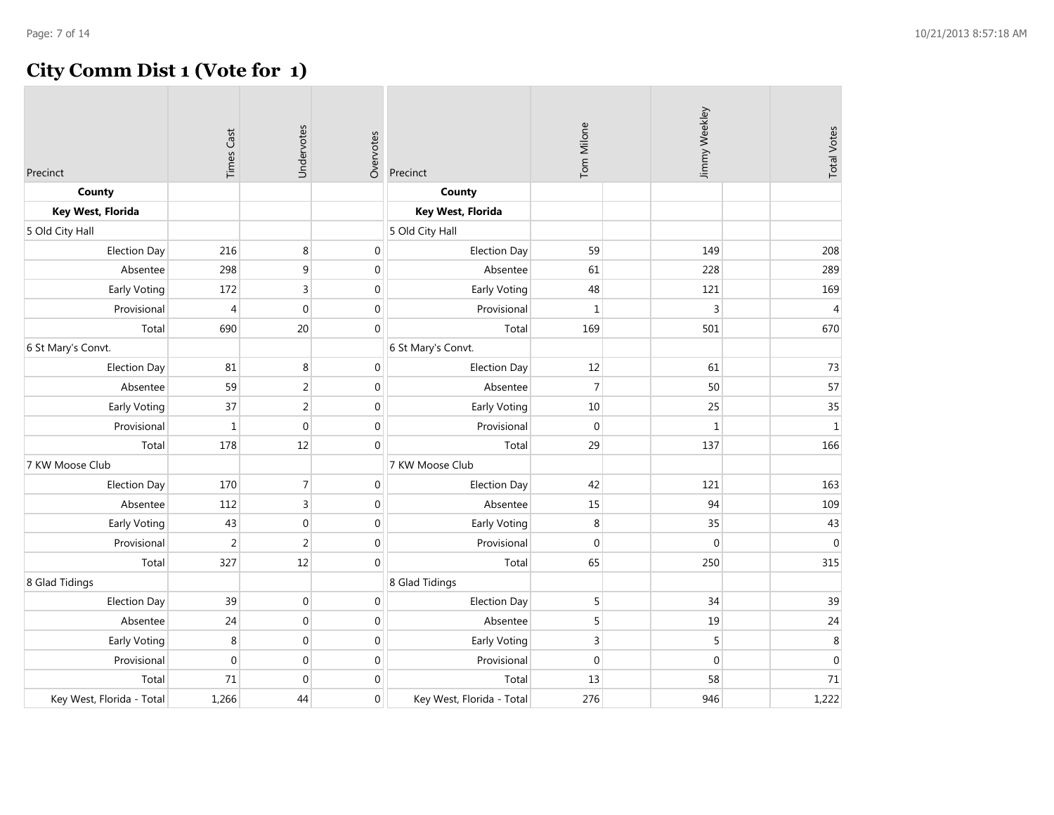## **City Comm Dist 1 (Vote for 1)**

| Precinct                  | <b>Times Cast</b> | Undervotes     | Overvotes        | Precinct                  | Tom Milone  | Jimmy Weekley | <b>Total Votes</b> |
|---------------------------|-------------------|----------------|------------------|---------------------------|-------------|---------------|--------------------|
| County                    |                   |                |                  | County                    |             |               |                    |
| Key West, Florida         |                   |                |                  | Key West, Florida         |             |               |                    |
| 5 Old City Hall           |                   |                |                  | 5 Old City Hall           |             |               |                    |
| <b>Election Day</b>       | 216               | 8              | $\mathbf 0$      | <b>Election Day</b>       | 59          | 149           | 208                |
| Absentee                  | 298               | 9              | $\boldsymbol{0}$ | Absentee                  | 61          | 228           | 289                |
| Early Voting              | 172               | 3              | $\mathbf 0$      | Early Voting              | 48          | 121           | 169                |
| Provisional               | $\overline{4}$    | $\mathbf{0}$   | $\boldsymbol{0}$ | Provisional               | $\mathbf 1$ | 3             | $\overline{4}$     |
| Total                     | 690               | 20             | $\mathbf 0$      | Total                     | 169         | 501           | 670                |
| 6 St Mary's Convt.        |                   |                |                  | 6 St Mary's Convt.        |             |               |                    |
| <b>Election Day</b>       | 81                | 8              | $\boldsymbol{0}$ | <b>Election Day</b>       | 12          | 61            | 73                 |
| Absentee                  | 59                | $\overline{2}$ | $\boldsymbol{0}$ | Absentee                  | 7           | 50            | 57                 |
| Early Voting              | 37                | $\overline{2}$ | $\boldsymbol{0}$ | Early Voting              | 10          | 25            | 35                 |
| Provisional               | $\mathbf 1$       | $\mathbf{0}$   | $\boldsymbol{0}$ | Provisional               | 0           | $\,1\,$       | $\,1$              |
| Total                     | 178               | 12             | $\mathbf{0}$     | Total                     | 29          | 137           | 166                |
| 7 KW Moose Club           |                   |                |                  | 7 KW Moose Club           |             |               |                    |
| <b>Election Day</b>       | 170               | $\overline{7}$ | $\boldsymbol{0}$ | <b>Election Day</b>       | 42          | 121           | 163                |
| Absentee                  | 112               | 3              | $\mathbf 0$      | Absentee                  | 15          | 94            | 109                |
| Early Voting              | 43                | $\mathbf{0}$   | $\boldsymbol{0}$ | Early Voting              | 8           | 35            | 43                 |
| Provisional               | $\overline{2}$    | 2              | $\pmb{0}$        | Provisional               | $\mathbf 0$ | $\Omega$      | $\mathbf{0}$       |
| Total                     | 327               | 12             | $\boldsymbol{0}$ | Total                     | 65          | 250           | 315                |
| 8 Glad Tidings            |                   |                |                  | 8 Glad Tidings            |             |               |                    |
| <b>Election Day</b>       | 39                | $\mathbf 0$    | $\boldsymbol{0}$ | <b>Election Day</b>       | 5           | 34            | 39                 |
| Absentee                  | 24                | $\mathbf{0}$   | $\boldsymbol{0}$ | Absentee                  | 5           | 19            | 24                 |
| Early Voting              | 8                 | $\mathbf{0}$   | $\boldsymbol{0}$ | Early Voting              | 3           | 5             | $\,8\,$            |
| Provisional               | $\boldsymbol{0}$  | $\mathbf{0}$   | $\boldsymbol{0}$ | Provisional               | 0           | $\mathbf 0$   | $\mathbf 0$        |
| Total                     | 71                | $\mathbf{0}$   | $\mathbf 0$      | Total                     | 13          | 58            | 71                 |
| Key West, Florida - Total | 1,266             | 44             | $\mathbf 0$      | Key West, Florida - Total | 276         | 946           | 1,222              |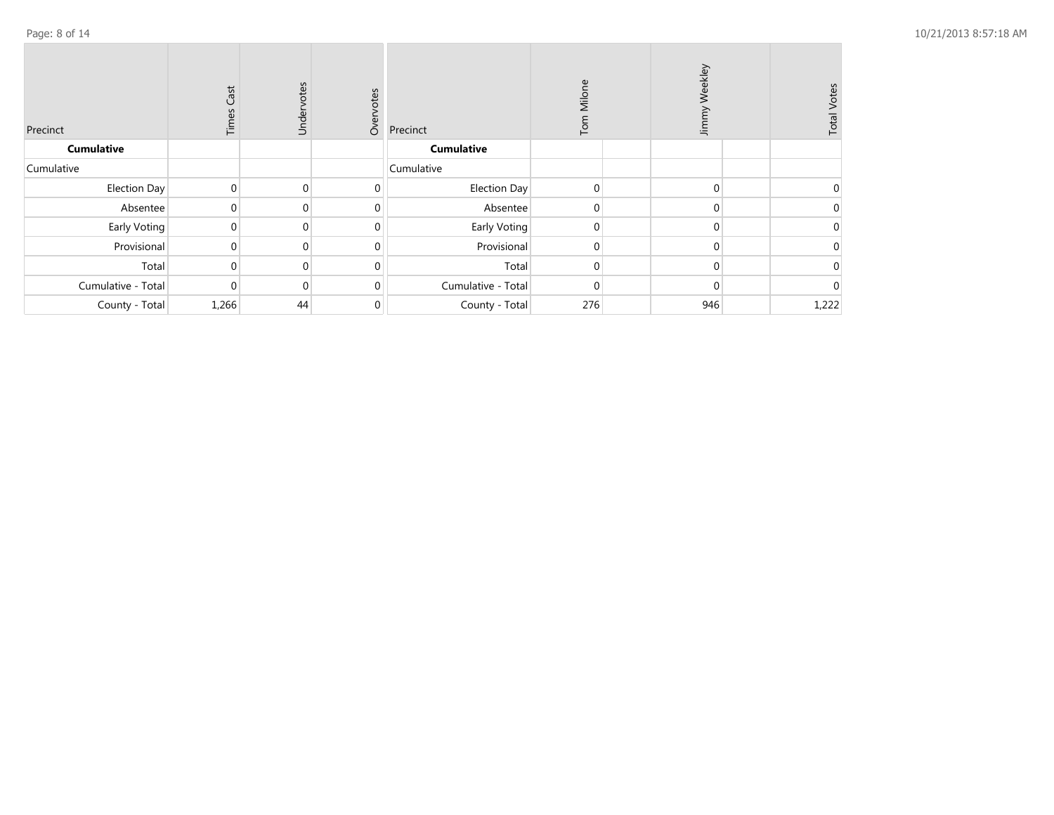| Precinct           | Cast<br>Times  | Undervotes     | Overvotes    | Precinct            | Milone<br>Tom | Weekley<br>Jimmy | <b>Total Votes</b> |
|--------------------|----------------|----------------|--------------|---------------------|---------------|------------------|--------------------|
| <b>Cumulative</b>  |                |                |              | <b>Cumulative</b>   |               |                  |                    |
| Cumulative         |                |                |              | Cumulative          |               |                  |                    |
| Election Day       | $\overline{0}$ | $\overline{0}$ | 0            | <b>Election Day</b> | $\mathbf 0$   | $\overline{0}$   | $\mathbf 0$        |
| Absentee           |                | $\overline{0}$ | 0            | Absentee            | 0             | $\mathbf{0}$     | 0                  |
| Early Voting       | $\Omega$       | $\overline{0}$ | 0            | Early Voting        | 0             | $\Omega$         |                    |
| Provisional        | $\Omega$       | $\overline{0}$ | $\mathbf{0}$ | Provisional         | $\mathbf 0$   | $\Omega$         | $\Omega$           |
| Total              |                | $\mathbf{0}$   | 0            | Total               | 0             | 0                | 0                  |
| Cumulative - Total | $\Omega$       | $\overline{0}$ | 0            | Cumulative - Total  | $\mathbf 0$   | $\Omega$         | $\mathbf 0$        |
| County - Total     | 1,266          | 44             | 0            | County - Total      | 276           | 946              | 1,222              |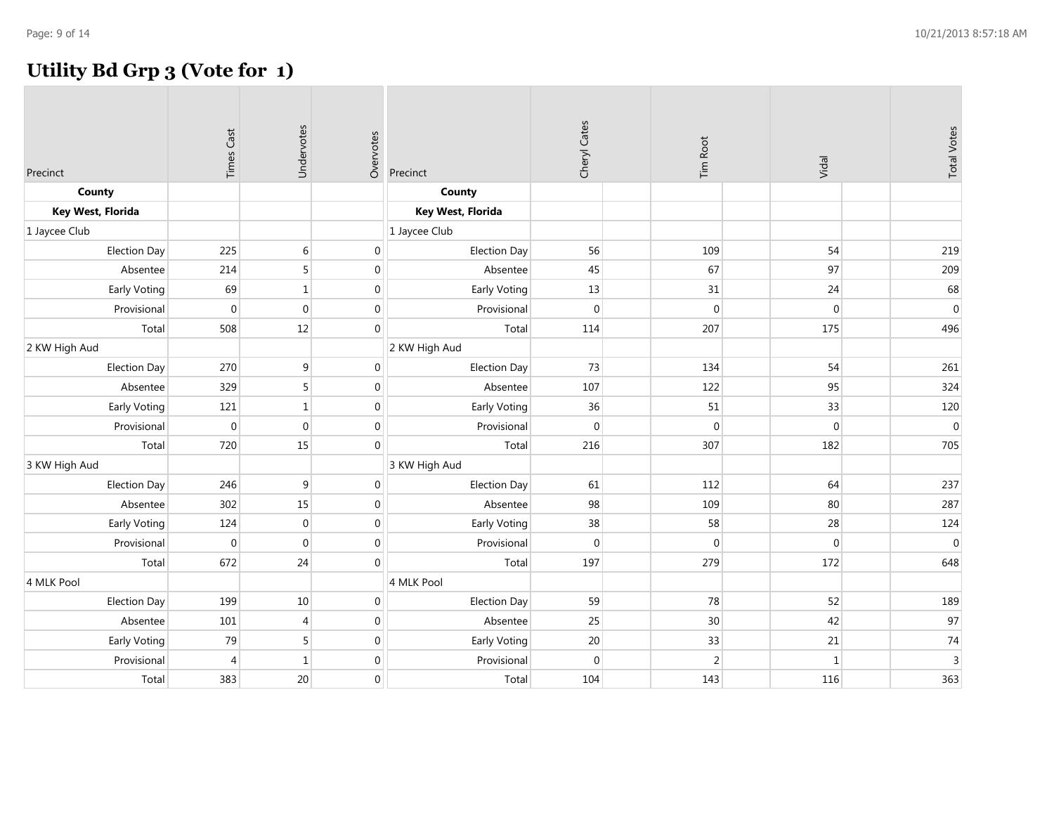## **Utility Bd Grp 3 (Vote for 1)**

| Precinct            | <b>Times Cast</b> | Undervotes       | Overvotes        | Precinct            | Cheryl Cates | Tim Root       | Vidal        | <b>Total Votes</b> |
|---------------------|-------------------|------------------|------------------|---------------------|--------------|----------------|--------------|--------------------|
| County              |                   |                  |                  | County              |              |                |              |                    |
| Key West, Florida   |                   |                  |                  | Key West, Florida   |              |                |              |                    |
| 1 Jaycee Club       |                   |                  |                  | 1 Jaycee Club       |              |                |              |                    |
| <b>Election Day</b> | 225               | $\sqrt{6}$       | $\boldsymbol{0}$ | <b>Election Day</b> | 56           | 109            | 54           | 219                |
| Absentee            | 214               | 5                | $\boldsymbol{0}$ | Absentee            | 45           | 67             | 97           | 209                |
| Early Voting        | 69                | $\,1$            | $\boldsymbol{0}$ | Early Voting        | 13           | 31             | 24           | 68                 |
| Provisional         | $\mathbf{0}$      | $\boldsymbol{0}$ | $\boldsymbol{0}$ | Provisional         | $\mathbf{0}$ | $\mathbf{0}$   | $\mathbf{0}$ | $\boldsymbol{0}$   |
| Total               | 508               | 12               | $\mathbf{0}$     | Total               | 114          | 207            | 175          | 496                |
| 2 KW High Aud       |                   |                  |                  | 2 KW High Aud       |              |                |              |                    |
| Election Day        | 270               | 9                | $\mathbf 0$      | <b>Election Day</b> | 73           | 134            | 54           | 261                |
| Absentee            | 329               | 5 <sup>1</sup>   | $\boldsymbol{0}$ | Absentee            | 107          | 122            | 95           | 324                |
| Early Voting        | 121               | $\mathbf{1}$     | $\mathbf 0$      | Early Voting        | 36           | 51             | 33           | 120                |
| Provisional         | $\boldsymbol{0}$  | $\boldsymbol{0}$ | $\pmb{0}$        | Provisional         | $\mathbf{0}$ | $\Omega$       | $\Omega$     | $\mathbf 0$        |
| Total               | 720               | 15               | $\mathbf 0$      | Total               | 216          | 307            | 182          | 705                |
| 3 KW High Aud       |                   |                  |                  | 3 KW High Aud       |              |                |              |                    |
| <b>Election Day</b> | 246               | 9                | $\mathbf 0$      | <b>Election Day</b> | 61           | 112            | 64           | 237                |
| Absentee            | 302               | 15               | $\mathbf 0$      | Absentee            | 98           | 109            | 80           | 287                |
| Early Voting        | 124               | $\overline{0}$   | $\boldsymbol{0}$ | Early Voting        | 38           | 58             | 28           | 124                |
| Provisional         | $\mathbf 0$       | $\boldsymbol{0}$ | $\boldsymbol{0}$ | Provisional         | $\mathbf{0}$ | $\mathbf{0}$   | $\mathbf{0}$ | $\boldsymbol{0}$   |
| Total               | 672               | 24               | $\mathbf{0}$     | Total               | 197          | 279            | 172          | 648                |
| 4 MLK Pool          |                   |                  |                  | 4 MLK Pool          |              |                |              |                    |
| <b>Election Day</b> | 199               | $10\,$           | $\boldsymbol{0}$ | <b>Election Day</b> | 59           | 78             | 52           | 189                |
| Absentee            | 101               | $\vert 4 \vert$  | $\boldsymbol{0}$ | Absentee            | 25           | 30             | 42           | 97                 |
| Early Voting        | 79                | 5                | $\mathbf 0$      | Early Voting        | 20           | 33             | 21           | 74                 |
| Provisional         | $\overline{4}$    | $\,1$            | $\mathbf 0$      | Provisional         | $\mathbf{0}$ | $\overline{2}$ | $\mathbf{1}$ | $\overline{3}$     |
| Total               | 383               | 20               | $\mathbf 0$      | Total               | 104          | 143            | 116          | 363                |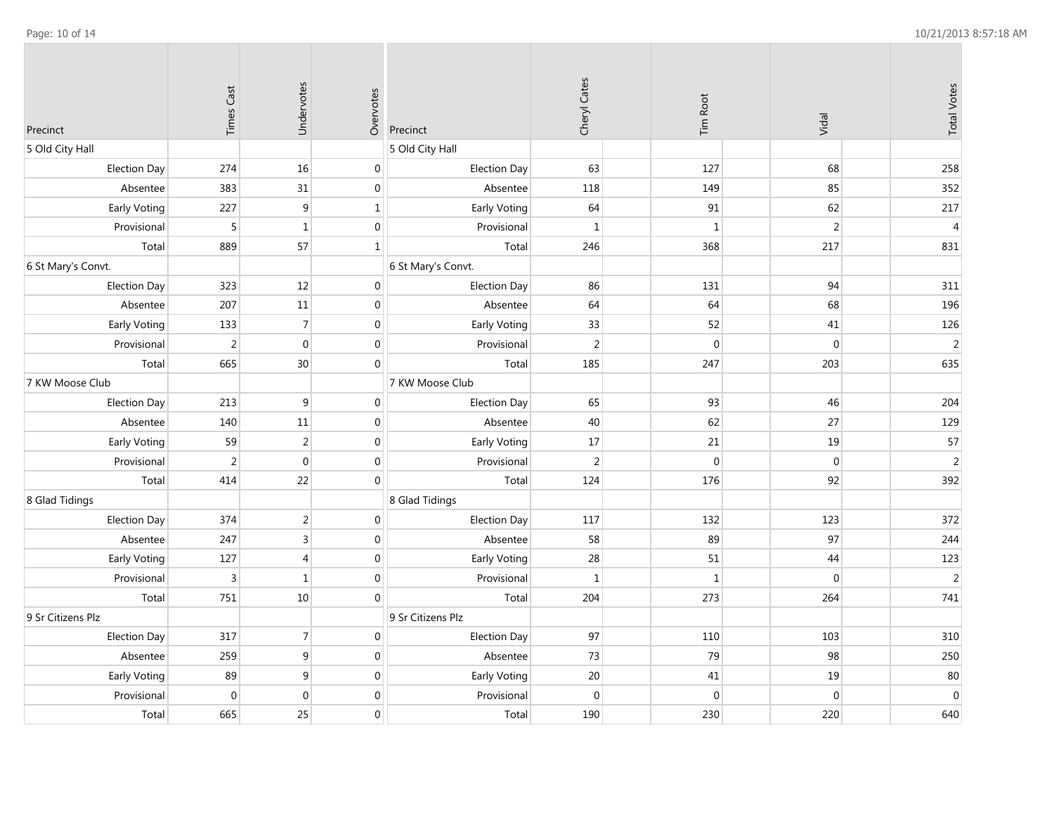$\sim$ 

 $\sim$ 

| Precinct            | <b>Times Cast</b> | Undervotes       | Overvotes        | Precinct            | Cheryl Cates   | Tim Root     | Vidal          | <b>Total Votes</b> |
|---------------------|-------------------|------------------|------------------|---------------------|----------------|--------------|----------------|--------------------|
| 5 Old City Hall     |                   |                  |                  | 5 Old City Hall     |                |              |                |                    |
| <b>Election Day</b> | 274               | 16               | $\mathbf 0$      | Election Day        | 63             | 127          | 68             | 258                |
| Absentee            | 383               | 31               | $\boldsymbol{0}$ | Absentee            | 118            | 149          | 85             | 352                |
| Early Voting        | 227               | 9                | $\mathbf{1}$     | Early Voting        | 64             | 91           | 62             | 217                |
| Provisional         | 5                 | $\mathbf{1}$     | $\boldsymbol{0}$ | Provisional         | $\mathbf{1}$   | $\mathbf{1}$ | $\overline{2}$ | $\overline{4}$     |
| Total               | 889               | 57               | $\vert 1 \vert$  | Total               | 246            | 368          | 217            | 831                |
| 6 St Mary's Convt.  |                   |                  |                  | 6 St Mary's Convt.  |                |              |                |                    |
| <b>Election Day</b> | 323               | 12               | $\mathbf 0$      | Election Day        | 86             | 131          | 94             | 311                |
| Absentee            | 207               | $11\,$           | $\boldsymbol{0}$ | Absentee            | 64             | 64           | 68             | 196                |
| Early Voting        | 133               | $\overline{7}$   | $\mathbf 0$      | Early Voting        | 33             | 52           | 41             | 126                |
| Provisional         | $\overline{2}$    | $\boldsymbol{0}$ | $\boldsymbol{0}$ | Provisional         | $\overline{2}$ | $\mathbf{0}$ | $\mathbf{0}$   | $\sqrt{2}$         |
| Total               | 665               | 30               | $\boldsymbol{0}$ | Total               | 185            | 247          | 203            | 635                |
| 7 KW Moose Club     |                   |                  |                  | 7 KW Moose Club     |                |              |                |                    |
| <b>Election Day</b> | 213               | $\boldsymbol{9}$ | $\mathbf 0$      | Election Day        | 65             | 93           | 46             | 204                |
| Absentee            | 140               | $11\,$           | $\boldsymbol{0}$ | Absentee            | 40             | 62           | 27             | 129                |
| Early Voting        | 59                | $\overline{2}$   | $\mathbf 0$      | Early Voting        | 17             | 21           | 19             | 57                 |
| Provisional         | $\overline{2}$    | $\mathbf 0$      | $\mathbf 0$      | Provisional         | $\overline{2}$ | $\mathbf{0}$ | $\mathbf{0}$   | $\sqrt{2}$         |
| Total               | 414               | 22               | $\boldsymbol{0}$ | Total               | 124            | 176          | 92             | 392                |
| 8 Glad Tidings      |                   |                  |                  | 8 Glad Tidings      |                |              |                |                    |
| <b>Election Day</b> | 374               | $\sqrt{2}$       | $\mathbf 0$      | Election Day        | 117            | 132          | 123            | 372                |
| Absentee            | 247               | $\overline{3}$   | $\boldsymbol{0}$ | Absentee            | 58             | 89           | 97             | 244                |
| Early Voting        | 127               | 4                | $\mathbf 0$      | Early Voting        | 28             | 51           | 44             | 123                |
| Provisional         | $\overline{3}$    | $\mathbf{1}$     | $\mathbf{0}$     | Provisional         | $\mathbf{1}$   | $\mathbf{1}$ | $\mathbf{0}$   | $\sqrt{2}$         |
| Total               | 751               | $10\,$           | $\mathbf 0$      | Total               | 204            | 273          | 264            | 741                |
| 9 Sr Citizens Plz   |                   |                  |                  | 9 Sr Citizens Plz   |                |              |                |                    |
| <b>Election Day</b> | 317               | $\overline{7}$   | $\mathbf 0$      | <b>Election Day</b> | 97             | 110          | 103            | 310                |
| Absentee            | 259               | 9                | $\mathbf 0$      | Absentee            | 73             | 79           | 98             | 250                |
| Early Voting        | 89                | 9                | $\mathbf 0$      | Early Voting        | $20\,$         | 41           | 19             | 80                 |
| Provisional         | $\mathbf{0}$      | $\mathbf 0$      | $\mathbf 0$      | Provisional         | $\mathbf{0}$   | $\mathbf{0}$ | $\mathbf{0}$   | $\boldsymbol{0}$   |
| Total               | 665               | 25               | $\mathbf 0$      | Total               | 190            | 230          | 220            | 640                |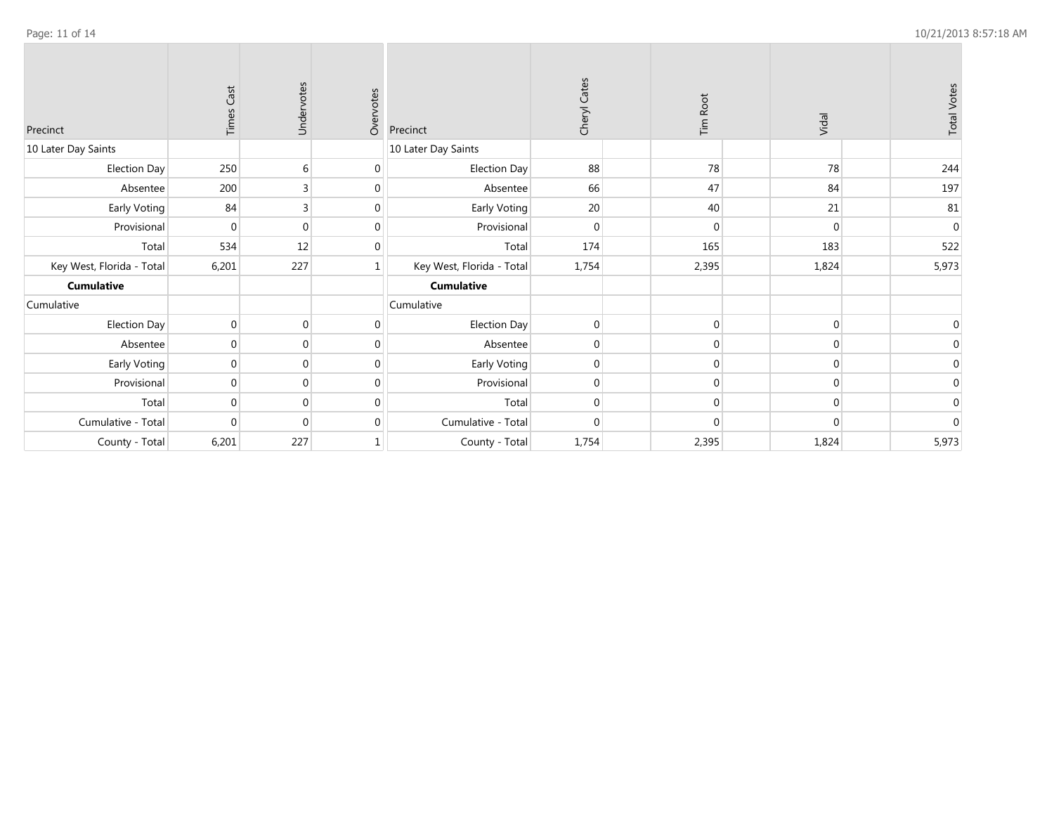| Precinct                  | <b>Times Cast</b> | Undervotes     | Overvotes      | Precinct                  | Cheryl Cates | <b>Tim Root</b> | Vidal    | <b>Total Votes</b> |
|---------------------------|-------------------|----------------|----------------|---------------------------|--------------|-----------------|----------|--------------------|
| 10 Later Day Saints       |                   |                |                | 10 Later Day Saints       |              |                 |          |                    |
| Election Day              | 250               | 6              | $\mathbf 0$    | Election Day              | 88           | 78              | 78       | 244                |
| Absentee                  | 200               | 3              | $\mathbf 0$    | Absentee                  | 66           | 47              | 84       | 197                |
| Early Voting              | 84                | $\overline{3}$ | $\mathbf 0$    | Early Voting              | 20           | 40              | 21       | 81                 |
| Provisional               | $\Omega$          | $\overline{0}$ | $\mathbf 0$    | Provisional               | $\Omega$     | $\Omega$        |          | $\mathbf 0$        |
| Total                     | 534               | 12             | $\mathbf{0}$   | Total                     | 174          | 165             | 183      | 522                |
| Key West, Florida - Total | 6,201             | 227            | $\mathbf{1}$   | Key West, Florida - Total | 1,754        | 2,395           | 1,824    | 5,973              |
| <b>Cumulative</b>         |                   |                |                | <b>Cumulative</b>         |              |                 |          |                    |
| Cumulative                |                   |                |                | Cumulative                |              |                 |          |                    |
| Election Day              | $\pmb{0}$         | $\mathbf 0$    | $\mathbf{0}$   | Election Day              | $\Omega$     | $\mathbf 0$     | $\Omega$ | $\mathbf 0$        |
| Absentee                  | $\overline{0}$    | $\overline{0}$ | $\overline{0}$ | Absentee                  | $\Omega$     | $\Omega$        |          | $\mathbf 0$        |
| Early Voting              | $\mathbf 0$       | $\mathbf 0$    | $\mathbf 0$    | Early Voting              | $\mathbf 0$  | $\overline{0}$  | $\Omega$ | $\mathbf 0$        |
| Provisional               | $\mathbf{0}$      | $\mathbf{0}$   | $\mathbf{0}$   | Provisional               | $\mathbf 0$  | $\mathbf 0$     | $\Omega$ | $\mathbf 0$        |
| Total                     | $\mathbf{0}$      | $\mathbf 0$    | $\mathbf 0$    | Total                     | $\Omega$     | $\overline{0}$  |          | $\mathbf 0$        |
| Cumulative - Total        | $\Omega$          | $\Omega$       | $\mathbf{0}$   | Cumulative - Total        | $\Omega$     | $\Omega$        |          | $\boldsymbol{0}$   |
| County - Total            | 6,201             | 227            | 1              | County - Total            | 1,754        | 2,395           | 1,824    | 5,973              |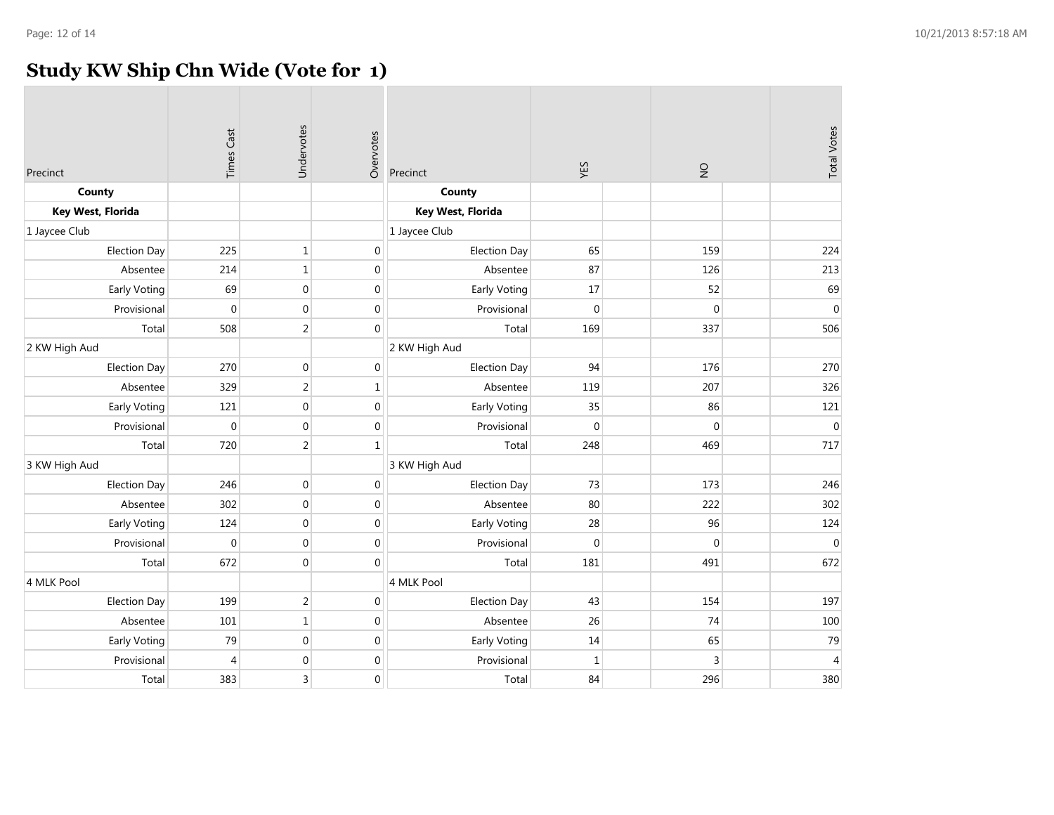## **Study KW Ship Chn Wide (Vote for 1)**

| Precinct            | <b>Times Cast</b> | Undervotes       | Overvotes        | Precinct            | YES          | $\frac{1}{2}$ | <b>Total Votes</b> |
|---------------------|-------------------|------------------|------------------|---------------------|--------------|---------------|--------------------|
| County              |                   |                  |                  | County              |              |               |                    |
| Key West, Florida   |                   |                  |                  | Key West, Florida   |              |               |                    |
| 1 Jaycee Club       |                   |                  |                  | 1 Jaycee Club       |              |               |                    |
| <b>Election Day</b> | 225               | $1\,$            | $\boldsymbol{0}$ | <b>Election Day</b> | 65           | 159           | 224                |
| Absentee            | 214               | $\mathbf{1}$     | $\pmb{0}$        | Absentee            | 87           | 126           | 213                |
| <b>Early Voting</b> | 69                | $\boldsymbol{0}$ | $\boldsymbol{0}$ | Early Voting        | $17\,$       | 52            | 69                 |
| Provisional         | $\boldsymbol{0}$  | $\mathbf 0$      | $\boldsymbol{0}$ | Provisional         | $\mathbf 0$  | $\mathbf{0}$  | $\boldsymbol{0}$   |
| Total               | 508               | $\overline{2}$   | $\mathbf 0$      | Total               | 169          | 337           | 506                |
| 2 KW High Aud       |                   |                  |                  | 2 KW High Aud       |              |               |                    |
| <b>Election Day</b> | 270               | $\mathbf 0$      | $\boldsymbol{0}$ | <b>Election Day</b> | 94           | 176           | 270                |
| Absentee            | 329               | 2                | $\mathbf{1}$     | Absentee            | 119          | 207           | 326                |
| <b>Early Voting</b> | 121               | $\mathbf 0$      | $\pmb{0}$        | Early Voting        | 35           | 86            | 121                |
| Provisional         | $\boldsymbol{0}$  | $\boldsymbol{0}$ | $\boldsymbol{0}$ | Provisional         | $\pmb{0}$    | 0             | $\mathbf 0$        |
| Total               | 720               | $\overline{2}$   | $\mathbf{1}$     | Total               | 248          | 469           | 717                |
| 3 KW High Aud       |                   |                  |                  | 3 KW High Aud       |              |               |                    |
| <b>Election Day</b> | 246               | $\mathbf 0$      | $\boldsymbol{0}$ | <b>Election Day</b> | 73           | 173           | 246                |
| Absentee            | 302               | $\mathbf 0$      | $\pmb{0}$        | Absentee            | 80           | 222           | 302                |
| <b>Early Voting</b> | 124               | $\mathbf 0$      | $\overline{0}$   | Early Voting        | 28           | 96            | 124                |
| Provisional         | $\boldsymbol{0}$  | $\mathbf 0$      | $\boldsymbol{0}$ | Provisional         | $\mathbf{0}$ | $\mathbf 0$   | $\boldsymbol{0}$   |
| Total               | 672               | $\mathbf{0}$     | $\mathbf 0$      | Total               | 181          | 491           | 672                |
| 4 MLK Pool          |                   |                  |                  | 4 MLK Pool          |              |               |                    |
| <b>Election Day</b> | 199               | $\overline{2}$   | $\mathbf 0$      | <b>Election Day</b> | 43           | 154           | 197                |
| Absentee            | 101               | $1\,$            | $\boldsymbol{0}$ | Absentee            | 26           | 74            | 100                |
| Early Voting        | 79                | $\mathbf{0}$     | $\pmb{0}$        | Early Voting        | 14           | 65            | 79                 |
| Provisional         | $\overline{4}$    | $\mathbf 0$      | $\boldsymbol{0}$ | Provisional         | $\mathbf 1$  | 3             | $\overline{4}$     |
| Total               | 383               | $\overline{3}$   | $\mathbf 0$      | Total               | 84           | 296           | 380                |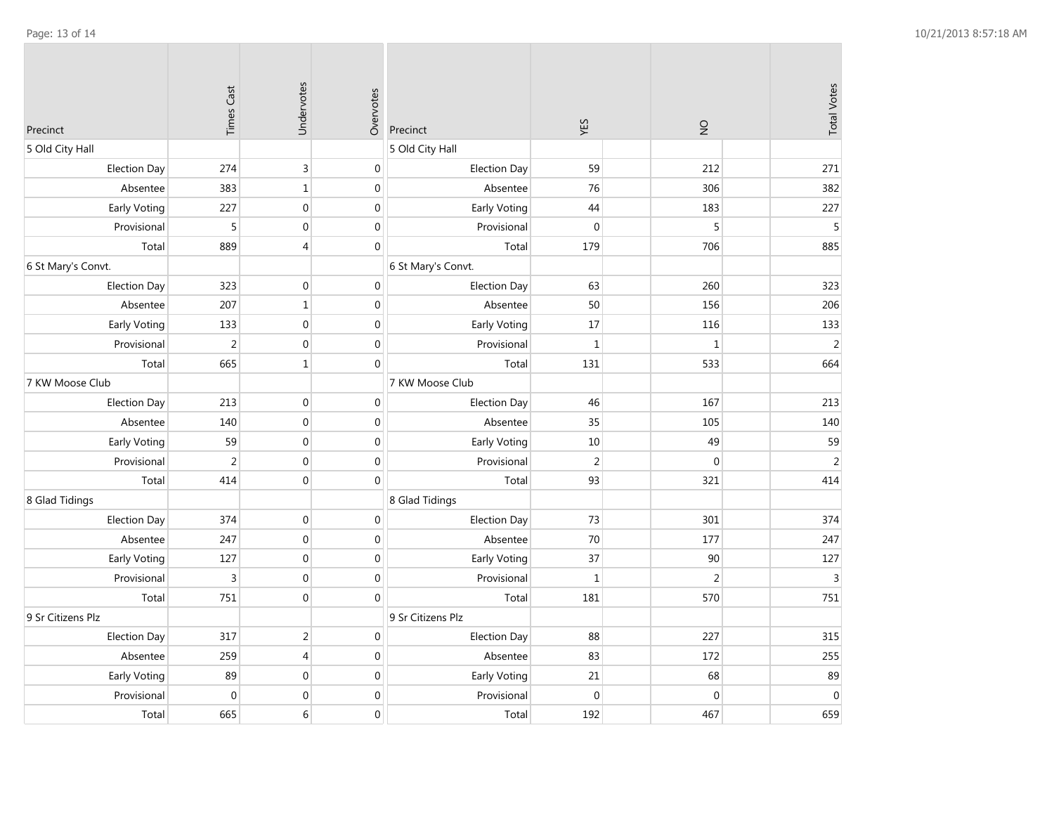| Precinct            | <b>Times Cast</b> | Undervotes       | Overvotes        | Precinct            | YES            | $\frac{1}{2}$  | <b>Total Votes</b> |
|---------------------|-------------------|------------------|------------------|---------------------|----------------|----------------|--------------------|
| 5 Old City Hall     |                   |                  |                  | 5 Old City Hall     |                |                |                    |
| <b>Election Day</b> | 274               | $\overline{3}$   | $\pmb{0}$        | <b>Election Day</b> | 59             | 212            | 271                |
| Absentee            | 383               | $\mathbf{1}$     | $\pmb{0}$        | Absentee            | 76             | 306            | 382                |
| Early Voting        | 227               | $\pmb{0}$        | $\boldsymbol{0}$ | Early Voting        | 44             | 183            | 227                |
| Provisional         | 5                 | $\mathbf{0}$     | $\pmb{0}$        | Provisional         | $\overline{0}$ | 5              | 5                  |
| Total               | 889               | $\overline{4}$   | $\boldsymbol{0}$ | Total               | 179            | 706            | 885                |
| 6 St Mary's Convt.  |                   |                  |                  | 6 St Mary's Convt.  |                |                |                    |
| <b>Election Day</b> | 323               | $\Omega$         | $\boldsymbol{0}$ | <b>Election Day</b> | 63             | 260            | 323                |
| Absentee            | 207               | $\mathbf{1}$     | $\boldsymbol{0}$ | Absentee            | 50             | 156            | 206                |
| Early Voting        | 133               | $\pmb{0}$        | $\boldsymbol{0}$ | Early Voting        | 17             | 116            | 133                |
| Provisional         | $\overline{2}$    | $\mathbf{0}$     | $\pmb{0}$        | Provisional         | $\mathbf{1}$   | $\mathbf{1}$   | $\overline{2}$     |
| Total               | 665               | $\mathbf{1}$     | $\boldsymbol{0}$ | Total               | 131            | 533            | 664                |
| 7 KW Moose Club     |                   |                  |                  | 7 KW Moose Club     |                |                |                    |
| <b>Election Day</b> | 213               | $\mathbf{0}$     | $\mathbf{0}$     | <b>Election Day</b> | 46             | 167            | 213                |
| Absentee            | 140               | $\boldsymbol{0}$ | $\boldsymbol{0}$ | Absentee            | 35             | 105            | 140                |
| Early Voting        | 59                | $\mathbf{0}$     | $\boldsymbol{0}$ | Early Voting        | 10             | 49             | 59                 |
| Provisional         | $\overline{2}$    | $\mathbf{0}$     | $\pmb{0}$        | Provisional         | $\overline{2}$ | $\mathbf 0$    | $\overline{2}$     |
| Total               | 414               | $\mathbf{0}$     | $\boldsymbol{0}$ | Total               | 93             | 321            | 414                |
| 8 Glad Tidings      |                   |                  |                  | 8 Glad Tidings      |                |                |                    |
| <b>Election Day</b> | 374               | $\boldsymbol{0}$ | $\pmb{0}$        | Election Day        | 73             | 301            | 374                |
| Absentee            | 247               | $\boldsymbol{0}$ | $\boldsymbol{0}$ | Absentee            | 70             | 177            | 247                |
| Early Voting        | 127               | $\mathbf{0}$     | $\boldsymbol{0}$ | Early Voting        | 37             | 90             | 127                |
| Provisional         | 3                 | $\boldsymbol{0}$ | $\boldsymbol{0}$ | Provisional         | $\mathbf{1}$   | $\overline{2}$ | $\mathsf 3$        |
| Total               | 751               | $\mathbf{0}$     | $\boldsymbol{0}$ | Total               | 181            | 570            | 751                |
| 9 Sr Citizens Plz   |                   |                  |                  | 9 Sr Citizens Plz   |                |                |                    |
| <b>Election Day</b> | 317               | $\overline{2}$   | $\pmb{0}$        | <b>Election Day</b> | 88             | 227            | 315                |
| Absentee            | 259               | $\overline{4}$   | $\boldsymbol{0}$ | Absentee            | 83             | 172            | 255                |
| Early Voting        | 89                | $\mathbf{0}$     | $\pmb{0}$        | Early Voting        | 21             | 68             | 89                 |
| Provisional         | $\mathbf{0}$      | $\mathbf 0$      | $\boldsymbol{0}$ | Provisional         | $\mathbf{0}$   | $\mathbf{0}$   | $\boldsymbol{0}$   |
| Total               | 665               | 6                | $\mathbf{0}$     | Total               | 192            | 467            | 659                |